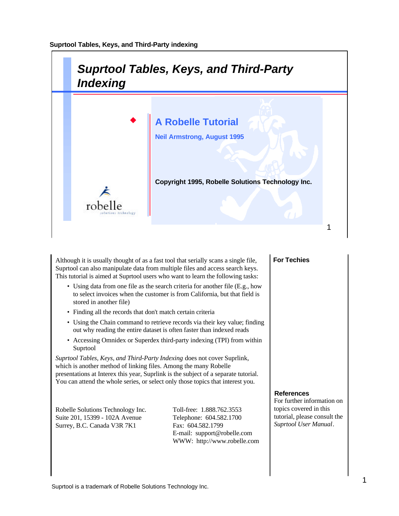

Although it is usually thought of as a fast tool that serially scans a single file, Suprtool can also manipulate data from multiple files and access search keys. This tutorial is aimed at Suprtool users who want to learn the following tasks:

- Using data from one file as the search criteria for another file (E.g., how to select invoices when the customer is from California, but that field is stored in another file)
- Finding all the records that don't match certain criteria
- Using the Chain command to retrieve records via their key value; finding out why reading the entire dataset is often faster than indexed reads
- Accessing Omnidex or Superdex third-party indexing (TPI) from within Suprtool

*Suprtool Tables, Keys, and Third-Party Indexing* does not cover Suprlink, which is another method of linking files. Among the many Robelle presentations at Interex this year, Suprlink is the subject of a separate tutorial. You can attend the whole series, or select only those topics that interest you.

Robelle Solutions Technology Inc. Toll-free: 1.888.762.3553 Suite 201, 15399 - 102A Avenue Telephone: 604.582.1700 Surrey, B.C. Canada V3R 7K1 Fax: 604.582.1799

E-mail: support@robelle.com WWW: http://www.robelle.com

#### **For Techies**

#### **References**

For further information on topics covered in this tutorial, please consult the *Suprtool User Manual*.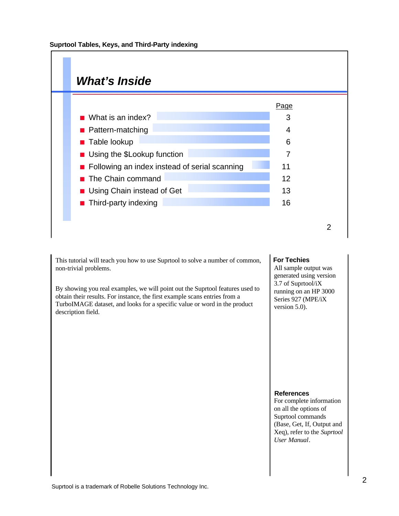

This tutorial will teach you how to use Suprtool to solve a number of common, non-trivial problems.

By showing you real examples, we will point out the Suprtool features used to obtain their results. For instance, the first example scans entries from a TurboIMAGE dataset, and looks for a specific value or word in the product description field.

#### **For Techies**

All sample output was generated using version 3.7 of Suprtool/iX running on an HP 3000 Series 927 (MPE/iX version 5.0).

#### **References**

For complete information on all the options of Suprtool commands (Base, Get, If, Output and Xeq), refer to the *Suprtool User Manual*.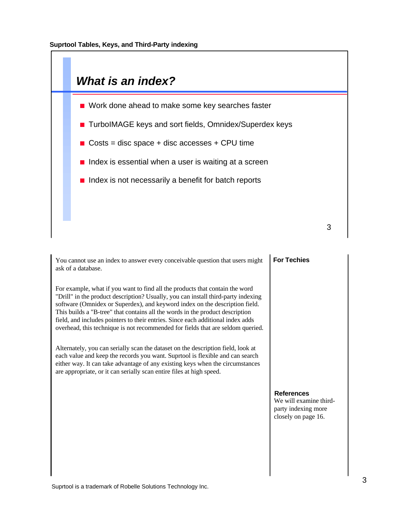

You cannot use an index to answer every conceivable question that users might ask of a database.

For example, what if you want to find all the products that contain the word "Drill" in the product description? Usually, you can install third-party indexing software (Omnidex or Superdex), and keyword index on the description field. This builds a "B-tree" that contains all the words in the product description field, and includes pointers to their entries. Since each additional index adds overhead, this technique is not recommended for fields that are seldom queried.

Alternately, you can serially scan the dataset on the description field, look at each value and keep the records you want. Suprtool is flexible and can search either way. It can take advantage of any existing keys when the circumstances are appropriate, or it can serially scan entire files at high speed.

## **For Techies**

## **References**

We will examine thirdparty indexing more closely on page 16.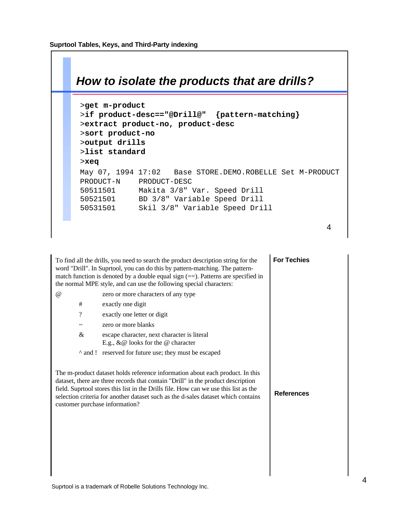

| To find all the drills, you need to search the product description string for the<br>word "Drill". In Suprtool, you can do this by pattern-matching. The pattern-<br>match function is denoted by a double equal sign $(==)$ . Patterns are specified in<br>the normal MPE style, and can use the following special characters: |                                                                                                                                                                                                                                                                                                                                                | <b>For Techies</b> |
|---------------------------------------------------------------------------------------------------------------------------------------------------------------------------------------------------------------------------------------------------------------------------------------------------------------------------------|------------------------------------------------------------------------------------------------------------------------------------------------------------------------------------------------------------------------------------------------------------------------------------------------------------------------------------------------|--------------------|
| $\omega$                                                                                                                                                                                                                                                                                                                        | zero or more characters of any type                                                                                                                                                                                                                                                                                                            |                    |
| #                                                                                                                                                                                                                                                                                                                               | exactly one digit                                                                                                                                                                                                                                                                                                                              |                    |
| $\overline{\cdot}$                                                                                                                                                                                                                                                                                                              | exactly one letter or digit                                                                                                                                                                                                                                                                                                                    |                    |
| $\tilde{}$                                                                                                                                                                                                                                                                                                                      | zero or more blanks                                                                                                                                                                                                                                                                                                                            |                    |
| &                                                                                                                                                                                                                                                                                                                               | escape character, next character is literal<br>E.g., $\&\,@$ looks for the $@$ character                                                                                                                                                                                                                                                       |                    |
|                                                                                                                                                                                                                                                                                                                                 | ^ and ! reserved for future use; they must be escaped                                                                                                                                                                                                                                                                                          |                    |
| customer purchase information?                                                                                                                                                                                                                                                                                                  | The m-product dataset holds reference information about each product. In this<br>dataset, there are three records that contain "Drill" in the product description<br>field. Suprtool stores this list in the Drills file. How can we use this list as the<br>selection criteria for another dataset such as the d-sales dataset which contains | <b>References</b>  |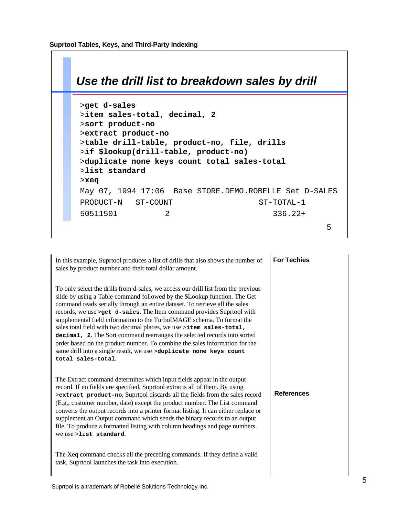

| In this example, Suprtool produces a list of drills that also shows the number of<br>sales by product number and their total dollar amount.                                                                                                                                                                                                                                                                                                                                                                                                                                                                                                                                                                                       | <b>For Techies</b> |
|-----------------------------------------------------------------------------------------------------------------------------------------------------------------------------------------------------------------------------------------------------------------------------------------------------------------------------------------------------------------------------------------------------------------------------------------------------------------------------------------------------------------------------------------------------------------------------------------------------------------------------------------------------------------------------------------------------------------------------------|--------------------|
| To only select the drills from d-sales, we access our drill list from the previous<br>slide by using a Table command followed by the \$Lookup function. The Get<br>command reads serially through an entire dataset. To retrieve all the sales<br>records, we use > get d-sales. The Item command provides Suprtool with<br>supplemental field information to the TurboIMAGE schema. To format the<br>sales total field with two decimal places, we use >item sales-total,<br>decimal, 2. The Sort command rearranges the selected records into sorted<br>order based on the product number. To combine the sales information for the<br>same drill into a single result, we use >duplicate none keys count<br>total sales-total. |                    |
| The Extract command determines which input fields appear in the output<br>record. If no fields are specified, Suprtool extracts all of them. By using<br>>extract product-no, Suprtool discards all the fields from the sales record<br>(E.g., customer number, date) except the product number. The List command<br>converts the output records into a printer format listing. It can either replace or<br>supplement an Output command which sends the binary records to an output<br>file. To produce a formatted listing with column headings and page numbers,<br>we use >list standard.                                                                                                                                     | <b>References</b>  |
| The Xeq command checks all the preceding commands. If they define a valid<br>task, Suprtool launches the task into execution.                                                                                                                                                                                                                                                                                                                                                                                                                                                                                                                                                                                                     |                    |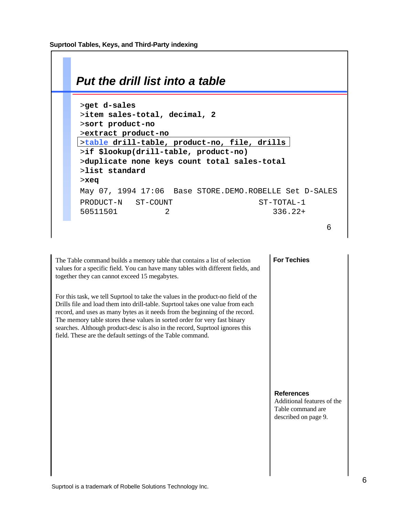

The Table command builds a memory table that contains a list of selection values for a specific field. You can have many tables with different fields, and together they can cannot exceed 15 megabytes.

For this task, we tell Suprtool to take the values in the product-no field of the Drills file and load them into drill-table. Suprtool takes one value from each record, and uses as many bytes as it needs from the beginning of the record. The memory table stores these values in sorted order for very fast binary searches. Although product-desc is also in the record, Suprtool ignores this field. These are the default settings of the Table command.

#### **For Techies**

#### **References**

Additional features of the Table command are described on page 9.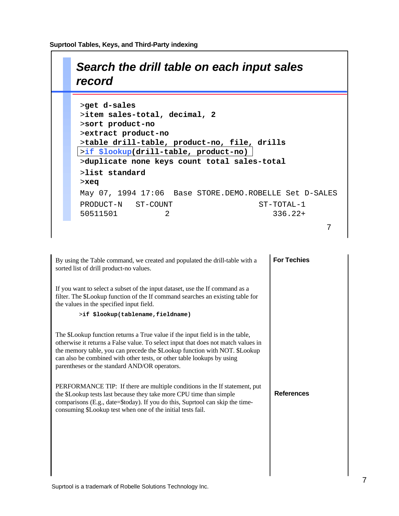# *Search the drill table on each input sales record*

| >get d-sales                                           |
|--------------------------------------------------------|
| >item sales-total, decimal, 2                          |
| >sort product-no                                       |
| >extract product-no                                    |
| >table drill-table, product-no, file, drills           |
| >if \$lookup(drill-table, product-no)                  |
| >duplicate none keys count total sales-total           |
| >list standard                                         |
| $>$ xeq                                                |
| May 07, 1994 17:06 Base STORE.DEMO.ROBELLE Set D-SALES |
| PRODUCT-N ST-COUNT<br>ST-TOTAL-1                       |
| 2<br>50511501<br>$336.22+$                             |
|                                                        |

| By using the Table command, we created and populated the drill-table with a<br>sorted list of drill product-no values.                                                                                                                                                                                                                                                       | <b>For Techies</b> |
|------------------------------------------------------------------------------------------------------------------------------------------------------------------------------------------------------------------------------------------------------------------------------------------------------------------------------------------------------------------------------|--------------------|
| If you want to select a subset of the input dataset, use the If command as a<br>filter. The \$Lookup function of the If command searches an existing table for<br>the values in the specified input field.                                                                                                                                                                   |                    |
| >if \$lookup(tablename, fieldname)                                                                                                                                                                                                                                                                                                                                           |                    |
| The \$Lookup function returns a True value if the input field is in the table,<br>otherwise it returns a False value. To select input that does not match values in<br>the memory table, you can precede the \$Lookup function with NOT. \$Lookup<br>can also be combined with other tests, or other table lookups by using<br>parentheses or the standard AND/OR operators. |                    |
| PERFORMANCE TIP: If there are multiple conditions in the If statement, put<br>the \$Lookup tests last because they take more CPU time than simple<br>comparisons (E.g., date=\$today). If you do this, Suprtool can skip the time-<br>consuming \$Lookup test when one of the initial tests fail.                                                                            | <b>References</b>  |
|                                                                                                                                                                                                                                                                                                                                                                              |                    |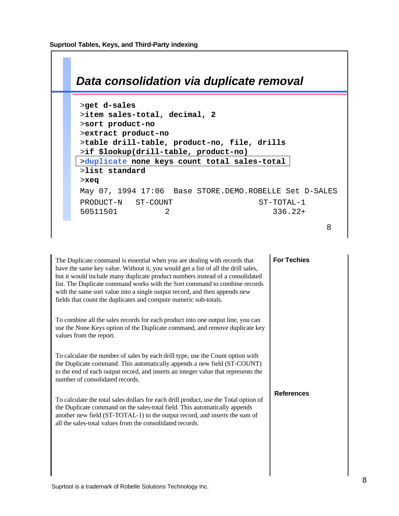

| The Duplicate command is essential when you are dealing with records that<br>have the same key value. Without it, you would get a list of all the drill sales,<br>but it would include many duplicate product numbers instead of a consolidated<br>list. The Duplicate command works with the Sort command to combine records<br>with the same sort value into a single output record, and then appends new<br>fields that count the duplicates and compute numeric sub-totals. | <b>For Techies</b> |
|---------------------------------------------------------------------------------------------------------------------------------------------------------------------------------------------------------------------------------------------------------------------------------------------------------------------------------------------------------------------------------------------------------------------------------------------------------------------------------|--------------------|
| To combine all the sales records for each product into one output line, you can<br>use the None Keys option of the Duplicate command, and remove duplicate key<br>values from the report.                                                                                                                                                                                                                                                                                       |                    |
| To calculate the number of sales by each drill type, use the Count option with<br>the Duplicate command. This automatically appends a new field (ST-COUNT)<br>to the end of each output record, and inserts an integer value that represents the<br>number of consolidated records.                                                                                                                                                                                             |                    |
| To calculate the total sales dollars for each drill product, use the Total option of<br>the Duplicate command on the sales-total field. This automatically appends<br>another new field (ST-TOTAL-1) to the output record, and inserts the sum of<br>all the sales-total values from the consolidated records.                                                                                                                                                                  | <b>References</b>  |
|                                                                                                                                                                                                                                                                                                                                                                                                                                                                                 |                    |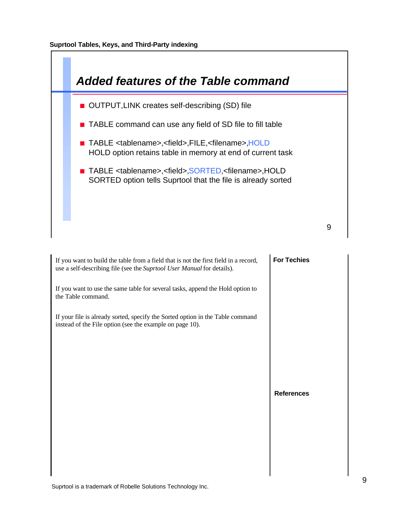

| If you want to build the table from a field that is not the first field in a record,<br>use a self-describing file (see the Suprtool User Manual for details). | <b>For Techies</b> |
|----------------------------------------------------------------------------------------------------------------------------------------------------------------|--------------------|
| If you want to use the same table for several tasks, append the Hold option to<br>the Table command.                                                           |                    |
| If your file is already sorted, specify the Sorted option in the Table command<br>instead of the File option (see the example on page 10).                     |                    |
|                                                                                                                                                                |                    |
|                                                                                                                                                                |                    |
|                                                                                                                                                                | <b>References</b>  |
|                                                                                                                                                                |                    |
|                                                                                                                                                                |                    |
|                                                                                                                                                                |                    |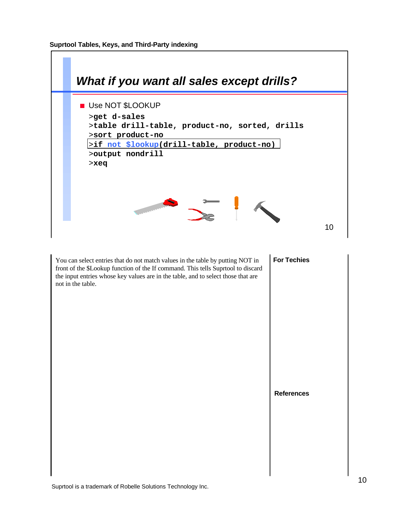

You can select entries that do not match values in the table by putting NOT in front of the \$Lookup function of the If command. This tells Suprtool to discard the input entries whose key values are in the table, and to select those that are not in the table.

# **For Techies**

**References**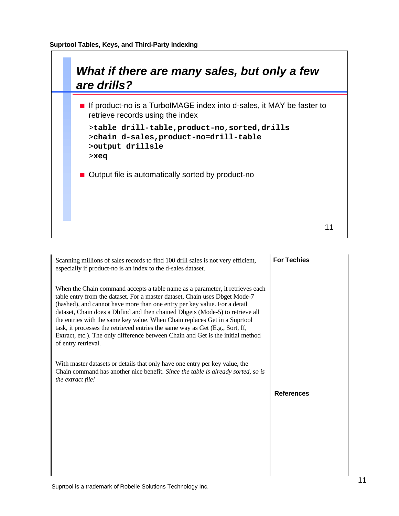

| Scanning millions of sales records to find 100 drill sales is not very efficient,<br>especially if product-no is an index to the d-sales dataset.                                                                                                                                                                                                                                                                                                                                                                                                                                                   | <b>For Techies</b> |
|-----------------------------------------------------------------------------------------------------------------------------------------------------------------------------------------------------------------------------------------------------------------------------------------------------------------------------------------------------------------------------------------------------------------------------------------------------------------------------------------------------------------------------------------------------------------------------------------------------|--------------------|
| When the Chain command accepts a table name as a parameter, it retrieves each<br>table entry from the dataset. For a master dataset, Chain uses Dbget Mode-7<br>(hashed), and cannot have more than one entry per key value. For a detail<br>dataset, Chain does a Dbfind and then chained Dbgets (Mode-5) to retrieve all<br>the entries with the same key value. When Chain replaces Get in a Suprtool<br>task, it processes the retrieved entries the same way as Get (E.g., Sort, If,<br>Extract, etc.). The only difference between Chain and Get is the initial method<br>of entry retrieval. |                    |
| With master datasets or details that only have one entry per key value, the<br>Chain command has another nice benefit. Since the table is already sorted, so is<br>the extract file!                                                                                                                                                                                                                                                                                                                                                                                                                |                    |
|                                                                                                                                                                                                                                                                                                                                                                                                                                                                                                                                                                                                     | <b>References</b>  |
|                                                                                                                                                                                                                                                                                                                                                                                                                                                                                                                                                                                                     |                    |
|                                                                                                                                                                                                                                                                                                                                                                                                                                                                                                                                                                                                     |                    |
|                                                                                                                                                                                                                                                                                                                                                                                                                                                                                                                                                                                                     |                    |
|                                                                                                                                                                                                                                                                                                                                                                                                                                                                                                                                                                                                     |                    |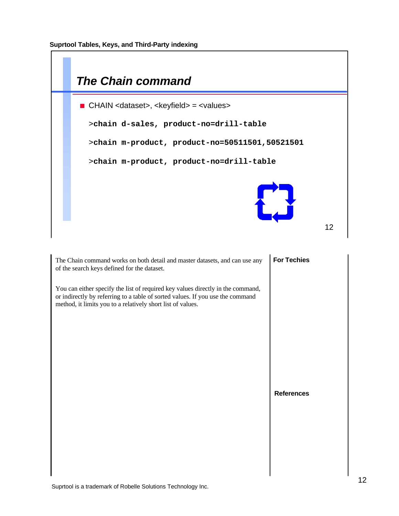

**References**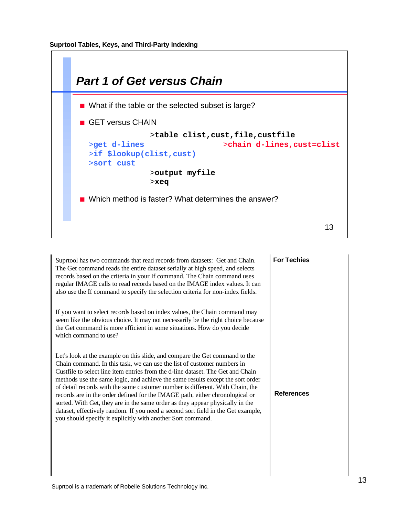

| Suprtool has two commands that read records from datasets: Get and Chain.<br>The Get command reads the entire dataset serially at high speed, and selects<br>records based on the criteria in your If command. The Chain command uses<br>regular IMAGE calls to read records based on the IMAGE index values. It can<br>also use the If command to specify the selection criteria for non-index fields.                                                                                                                                                                                                                                                                                                                          | <b>For Techies</b> |
|----------------------------------------------------------------------------------------------------------------------------------------------------------------------------------------------------------------------------------------------------------------------------------------------------------------------------------------------------------------------------------------------------------------------------------------------------------------------------------------------------------------------------------------------------------------------------------------------------------------------------------------------------------------------------------------------------------------------------------|--------------------|
| If you want to select records based on index values, the Chain command may<br>seem like the obvious choice. It may not necessarily be the right choice because<br>the Get command is more efficient in some situations. How do you decide<br>which command to use?                                                                                                                                                                                                                                                                                                                                                                                                                                                               |                    |
| Let's look at the example on this slide, and compare the Get command to the<br>Chain command. In this task, we can use the list of customer numbers in<br>Custfile to select line item entries from the d-line dataset. The Get and Chain<br>methods use the same logic, and achieve the same results except the sort order<br>of detail records with the same customer number is different. With Chain, the<br>records are in the order defined for the IMAGE path, either chronological or<br>sorted. With Get, they are in the same order as they appear physically in the<br>dataset, effectively random. If you need a second sort field in the Get example,<br>you should specify it explicitly with another Sort command. | <b>References</b>  |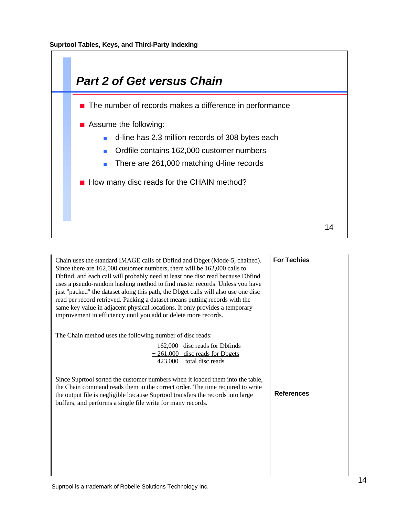

| Chain uses the standard IMAGE calls of Dbfind and Dbget (Mode-5, chained).<br>Since there are 162,000 customer numbers, there will be 162,000 calls to<br>Dbfind, and each call will probably need at least one disc read because Dbfind<br>uses a pseudo-random hashing method to find master records. Unless you have<br>just "packed" the dataset along this path, the Dbget calls will also use one disc<br>read per record retrieved. Packing a dataset means putting records with the<br>same key value in adjacent physical locations. It only provides a temporary<br>improvement in efficiency until you add or delete more records. | <b>For Techies</b> |
|-----------------------------------------------------------------------------------------------------------------------------------------------------------------------------------------------------------------------------------------------------------------------------------------------------------------------------------------------------------------------------------------------------------------------------------------------------------------------------------------------------------------------------------------------------------------------------------------------------------------------------------------------|--------------------|
| The Chain method uses the following number of disc reads:<br>162,000 disc reads for Dbfinds<br>$+261,000$ disc reads for Dbgets<br>423,000 total disc reads                                                                                                                                                                                                                                                                                                                                                                                                                                                                                   |                    |
| Since Suprtool sorted the customer numbers when it loaded them into the table,<br>the Chain command reads them in the correct order. The time required to write<br>the output file is negligible because Suprtool transfers the records into large<br>buffers, and performs a single file write for many records.                                                                                                                                                                                                                                                                                                                             | <b>References</b>  |
|                                                                                                                                                                                                                                                                                                                                                                                                                                                                                                                                                                                                                                               |                    |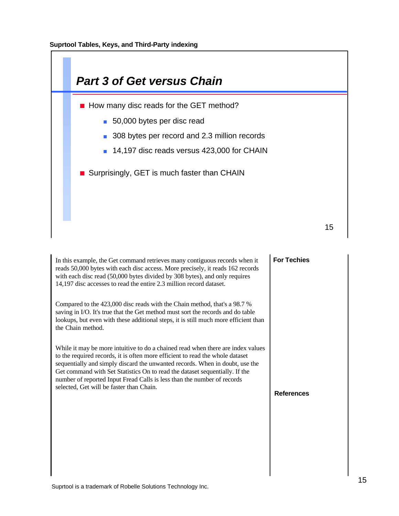

| In this example, the Get command retrieves many contiguous records when it<br>reads 50,000 bytes with each disc access. More precisely, it reads 162 records<br>with each disc read (50,000 bytes divided by 308 bytes), and only requires<br>14,197 disc accesses to read the entire 2.3 million record dataset.                                                                                                                                      | <b>For Techies</b> |
|--------------------------------------------------------------------------------------------------------------------------------------------------------------------------------------------------------------------------------------------------------------------------------------------------------------------------------------------------------------------------------------------------------------------------------------------------------|--------------------|
| Compared to the 423,000 disc reads with the Chain method, that's a 98.7 %<br>saving in I/O. It's true that the Get method must sort the records and do table<br>lookups, but even with these additional steps, it is still much more efficient than<br>the Chain method.                                                                                                                                                                               |                    |
| While it may be more intuitive to do a chained read when there are index values<br>to the required records, it is often more efficient to read the whole dataset<br>sequentially and simply discard the unwanted records. When in doubt, use the<br>Get command with Set Statistics On to read the dataset sequentially. If the<br>number of reported Input Fread Calls is less than the number of records<br>selected, Get will be faster than Chain. | <b>References</b>  |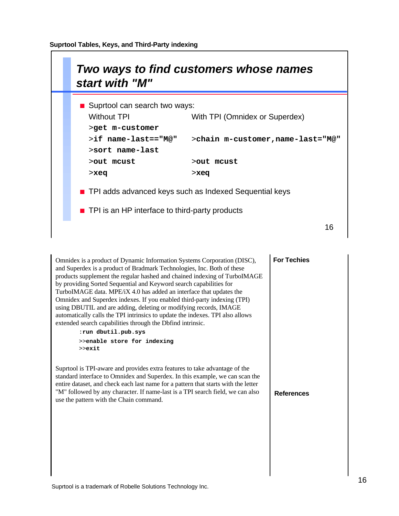

| Omnidex is a product of Dynamic Information Systems Corporation (DISC),<br>and Superdex is a product of Bradmark Technologies, Inc. Both of these<br>products supplement the regular hashed and chained indexing of TurboIMAGE<br>by providing Sorted Sequential and Keyword search capabilities for<br>TurboIMAGE data. MPE/iX 4.0 has added an interface that updates the<br>Omnidex and Superdex indexes. If you enabled third-party indexing (TPI)<br>using DBUTIL and are adding, deleting or modifying records, IMAGE<br>automatically calls the TPI intrinsics to update the indexes. TPI also allows<br>extended search capabilities through the Dbfind intrinsic.<br>:run dbutil.pub.sys<br>>>enable store for indexing<br>$>>$ exit | <b>For Techies</b> |
|-----------------------------------------------------------------------------------------------------------------------------------------------------------------------------------------------------------------------------------------------------------------------------------------------------------------------------------------------------------------------------------------------------------------------------------------------------------------------------------------------------------------------------------------------------------------------------------------------------------------------------------------------------------------------------------------------------------------------------------------------|--------------------|
| Suprtool is TPI-aware and provides extra features to take advantage of the<br>standard interface to Omnidex and Superdex. In this example, we can scan the<br>entire dataset, and check each last name for a pattern that starts with the letter<br>"M" followed by any character. If name-last is a TPI search field, we can also<br>use the pattern with the Chain command.                                                                                                                                                                                                                                                                                                                                                                 | <b>References</b>  |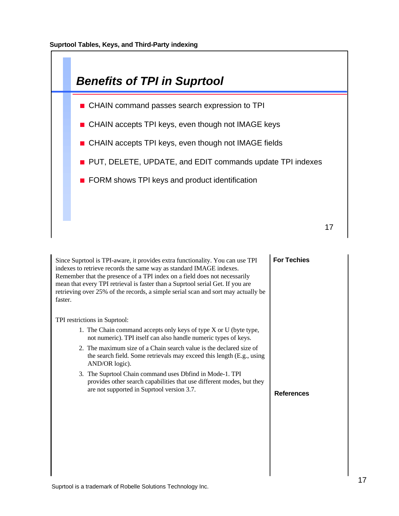

| Since Suprtool is TPI-aware, it provides extra functionality. You can use TPI<br>indexes to retrieve records the same way as standard IMAGE indexes.<br>Remember that the presence of a TPI index on a field does not necessarily<br>mean that every TPI retrieval is faster than a Suprtool serial Get. If you are<br>retrieving over 25% of the records, a simple serial scan and sort may actually be<br>faster. | <b>For Techies</b> |
|---------------------------------------------------------------------------------------------------------------------------------------------------------------------------------------------------------------------------------------------------------------------------------------------------------------------------------------------------------------------------------------------------------------------|--------------------|
| TPI restrictions in Suprtool:                                                                                                                                                                                                                                                                                                                                                                                       |                    |
| 1. The Chain command accepts only keys of type X or U (byte type,<br>not numeric). TPI itself can also handle numeric types of keys.                                                                                                                                                                                                                                                                                |                    |
| 2. The maximum size of a Chain search value is the declared size of<br>the search field. Some retrievals may exceed this length (E.g., using<br>AND/OR logic).                                                                                                                                                                                                                                                      |                    |
| 3. The Suprtool Chain command uses Dbfind in Mode-1. TPI<br>provides other search capabilities that use different modes, but they<br>are not supported in Suprtool version 3.7.                                                                                                                                                                                                                                     |                    |
|                                                                                                                                                                                                                                                                                                                                                                                                                     | <b>References</b>  |
|                                                                                                                                                                                                                                                                                                                                                                                                                     |                    |
|                                                                                                                                                                                                                                                                                                                                                                                                                     |                    |
|                                                                                                                                                                                                                                                                                                                                                                                                                     |                    |
|                                                                                                                                                                                                                                                                                                                                                                                                                     |                    |
|                                                                                                                                                                                                                                                                                                                                                                                                                     |                    |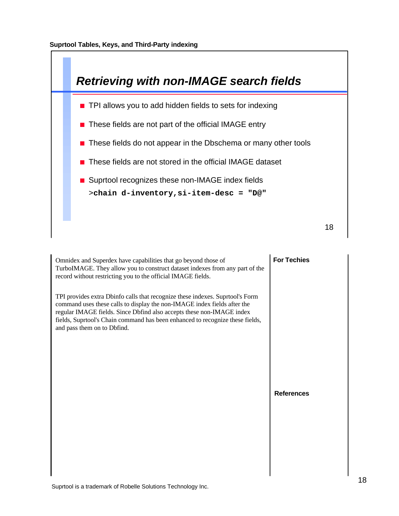

| Omnidex and Superdex have capabilities that go beyond those of<br>TurboIMAGE. They allow you to construct dataset indexes from any part of the<br>record without restricting you to the official IMAGE fields.                                                                                                                                     | <b>For Techies</b> |
|----------------------------------------------------------------------------------------------------------------------------------------------------------------------------------------------------------------------------------------------------------------------------------------------------------------------------------------------------|--------------------|
| TPI provides extra Dbinfo calls that recognize these indexes. Suprtool's Form<br>command uses these calls to display the non-IMAGE index fields after the<br>regular IMAGE fields. Since Dbfind also accepts these non-IMAGE index<br>fields, Suprtool's Chain command has been enhanced to recognize these fields,<br>and pass them on to Dbfind. |                    |
|                                                                                                                                                                                                                                                                                                                                                    |                    |
|                                                                                                                                                                                                                                                                                                                                                    | <b>References</b>  |
|                                                                                                                                                                                                                                                                                                                                                    |                    |
|                                                                                                                                                                                                                                                                                                                                                    |                    |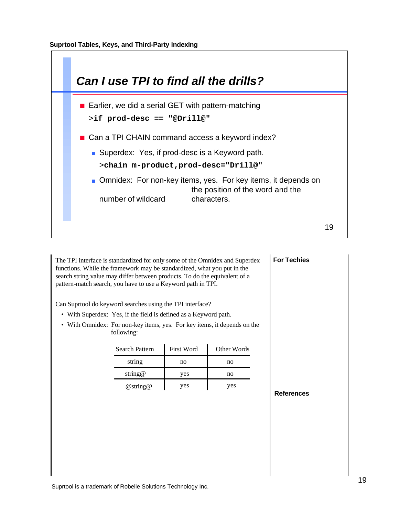

The TPI interface is standardized for only some of the Omnidex and Superdex functions. While the framework may be standardized, what you put in the search string value may differ between products. To do the equivalent of a pattern-match search, you have to use a Keyword path in TPI.

Can Suprtool do keyword searches using the TPI interface?

- With Superdex: Yes, if the field is defined as a Keyword path.
- With Omnidex: For non-key items, yes. For key items, it depends on the following:

| <b>Search Pattern</b> | <b>First Word</b> | Other Words |
|-----------------------|-------------------|-------------|
| string                | no                | no          |
| string@               | yes               | no          |
| @string@              | yes               | ves         |

**References**

**For Techies**